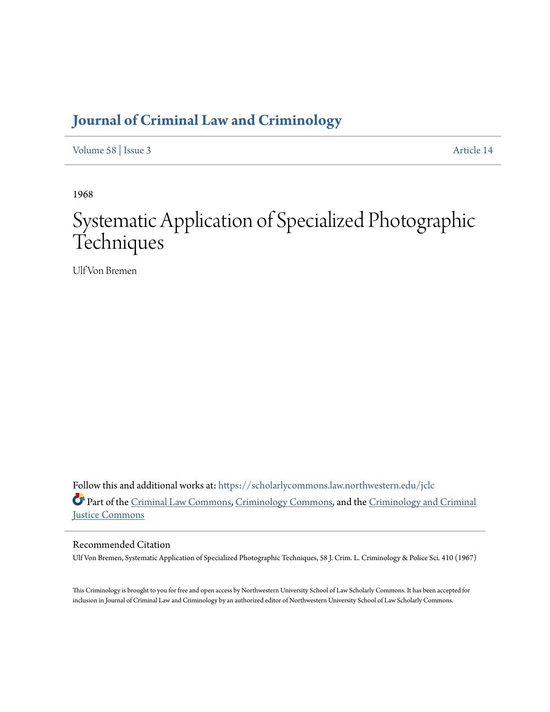# **[Journal of Criminal Law and Criminology](https://scholarlycommons.law.northwestern.edu/jclc?utm_source=scholarlycommons.law.northwestern.edu%2Fjclc%2Fvol58%2Fiss3%2F14&utm_medium=PDF&utm_campaign=PDFCoverPages)**

[Volume 58](https://scholarlycommons.law.northwestern.edu/jclc/vol58?utm_source=scholarlycommons.law.northwestern.edu%2Fjclc%2Fvol58%2Fiss3%2F14&utm_medium=PDF&utm_campaign=PDFCoverPages) | [Issue 3](https://scholarlycommons.law.northwestern.edu/jclc/vol58/iss3?utm_source=scholarlycommons.law.northwestern.edu%2Fjclc%2Fvol58%2Fiss3%2F14&utm_medium=PDF&utm_campaign=PDFCoverPages) [Article 14](https://scholarlycommons.law.northwestern.edu/jclc/vol58/iss3/14?utm_source=scholarlycommons.law.northwestern.edu%2Fjclc%2Fvol58%2Fiss3%2F14&utm_medium=PDF&utm_campaign=PDFCoverPages)

1968

# Systematic Application of Specialized Photographic **Techniques**

Ulf Von Bremen

Follow this and additional works at: [https://scholarlycommons.law.northwestern.edu/jclc](https://scholarlycommons.law.northwestern.edu/jclc?utm_source=scholarlycommons.law.northwestern.edu%2Fjclc%2Fvol58%2Fiss3%2F14&utm_medium=PDF&utm_campaign=PDFCoverPages) Part of the [Criminal Law Commons](http://network.bepress.com/hgg/discipline/912?utm_source=scholarlycommons.law.northwestern.edu%2Fjclc%2Fvol58%2Fiss3%2F14&utm_medium=PDF&utm_campaign=PDFCoverPages), [Criminology Commons](http://network.bepress.com/hgg/discipline/417?utm_source=scholarlycommons.law.northwestern.edu%2Fjclc%2Fvol58%2Fiss3%2F14&utm_medium=PDF&utm_campaign=PDFCoverPages), and the [Criminology and Criminal](http://network.bepress.com/hgg/discipline/367?utm_source=scholarlycommons.law.northwestern.edu%2Fjclc%2Fvol58%2Fiss3%2F14&utm_medium=PDF&utm_campaign=PDFCoverPages) [Justice Commons](http://network.bepress.com/hgg/discipline/367?utm_source=scholarlycommons.law.northwestern.edu%2Fjclc%2Fvol58%2Fiss3%2F14&utm_medium=PDF&utm_campaign=PDFCoverPages)

# Recommended Citation

Ulf Von Bremen, Systematic Application of Specialized Photographic Techniques, 58 J. Crim. L. Criminology & Police Sci. 410 (1967)

This Criminology is brought to you for free and open access by Northwestern University School of Law Scholarly Commons. It has been accepted for inclusion in Journal of Criminal Law and Criminology by an authorized editor of Northwestern University School of Law Scholarly Commons.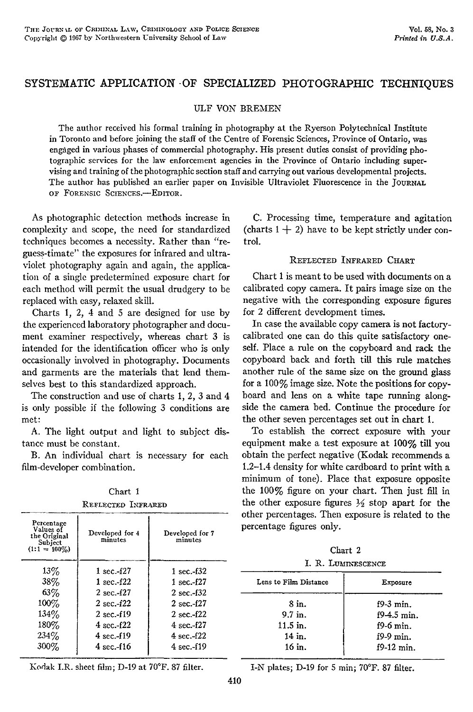# SYSTEMATIC APPLICATION -OF SPECIALIZED PHOTOGRAPHIC **TECHNIQUES**

ULF **VON** BREMEN

The author received his formal training in photography at the Ryerson Polytechnical Institute in Toronto and before joining the staff of the Centre of Forensic Sciences, Province of Ontario, was engaged in various phases of commercial photography. His present duties consist of providing photographic services for the law enforcement agencies in the Province of Ontario including supervising and training of the photographic section staff and carrying out various developmental projects. The author has published an earlier paper on Invisible Ultraviolet Fluorescence in the JOURNAL OF FORENSIC SCIENCES.-EDITOR.

As photographic detection methods increase in complexity and scope, the need for standardized techniques becomes a necessity. Rather than "reguess-timate" the exposures for infrared and ultraviolet photography again and again, the application of a single predetermined exposure chart for each method will permit the usual drudgery to be replaced with easy, relaxed skill.

Charts **1,** 2, 4 and 5 are designed for use by the experienced laboratory photographer and document examiner respectively, whereas chart 3 is intended for the identification officer who is only occasionally involved in photography. Documents and garments are the materials that lend themselves best to this standardized approach.

The construction and use of charts 1, 2, 3 and 4 is only possible if the following 3 conditions are met:

A. The light output and light to subject distance must be constant.

B. An individual chart is necessary for each film-developer combination.

| Chart 1            |  |
|--------------------|--|
| REFLECTED INFRARED |  |

Values of<br>the Original Developed for 4 Developed for 7<br>**Cubicat** minutes minutes minutes

13\% 1 sec.-f27 1 sec.-f32 38% 1 sec.-f22 1 sec.-f27 **63%** 2 sec.-f27 2 sec.-f32 100% | 2 sec.-f22 | 2 sec.-f27  $134\%$  | 2 sec.-f19 | 2 sec.-f22 180% **4 sec.-f22 4 sec.-f27** 234% 4 sec.-f **19** 4 sec.-f22 300% 4 sec.-f16 4 sec.-f **19**

Percentage

Subject **minutes minutes**  $(1:1 = 100\%)$ 

| C. Processing time, temperature and agitation         |
|-------------------------------------------------------|
| (charts $1 + 2$ ) have to be kept strictly under con- |
| trol.                                                 |

#### REFLECTED INFRARED CHART

Chart 1 is meant to be used with documents on a calibrated copy camera. It pairs image size on the negative with the corresponding exposure figures for 2 different development times.

In case the available copy camera is not factorycalibrated one can do this quite satisfactory oneself. Place a rule on the copyboard and rack the copyboard back and forth till this rule matches another rule of the same size on the ground glass for a 100% image size. Note the positions for copyboard and lens on a white tape running alongside the camera bed. Continue the procedure for the other seven percentages set out in chart 1.

To establish the correct exposure with your equipment make a test exposure at 100% till you obtain the perfect negative (Kodak recommends a 1.2-1.4 density for white cardboard to print with a minimum of tone). Place that exposure opposite the 100% figure on your chart. Then just fill in the other exposure figures  $\frac{1}{2}$  stop apart for the other percentages. Then exposure is related to the percentage figures only.

| Chart 2 |  |
|---------|--|
|         |  |

|  |  | I. R. LUMINESCENCE |
|--|--|--------------------|
|--|--|--------------------|

| Exposure      |
|---------------|
| $f9-3$ min.   |
| $f9-4.5$ min. |
| $f9-6$ min.   |
| $f9-9$ min.   |
| $f9-12$ min.  |
|               |

Kodak I.R. sheet film; D-19 at 70'F. 87 filter.

I-N plates; **D-19** for **5** min; **70F. 87** filter.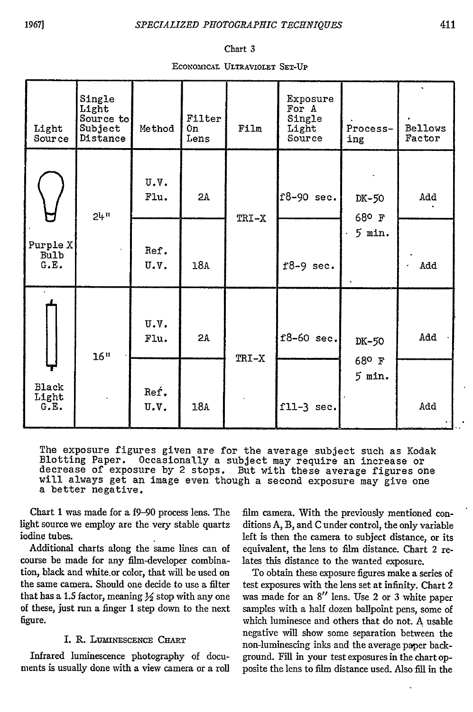#### Chart **3**

ECONOMICAL ULTRAVIOLET SET-UP

| Light<br>Source                 | Single<br>Light<br>Source to<br>Subject<br>Distance | Method       | Filter<br>0n<br>Lens | Film  | Exposure<br>For A<br>Single<br>Light<br>Source | Process-<br>ing | <b>Bellows</b><br>Factor |
|---------------------------------|-----------------------------------------------------|--------------|----------------------|-------|------------------------------------------------|-----------------|--------------------------|
|                                 | $24^n$                                              | U.V.<br>Flu. | 2A                   | TRI-X | $f8-90$ sec.                                   | DK-50<br>68°F   | Add                      |
| Purple X<br><b>Bulb</b><br>G.E. |                                                     | Ref.<br>U.V. | 18A                  |       | $f8-9$ sec.                                    | $5$ min.        | Add                      |
|                                 | 16"                                                 | U.V.<br>Flu. | 2A                   | TRI-X | $f8-60$ sec.                                   | DK-50           | bbA                      |
| <b>Black</b><br>Light<br>G.E.   |                                                     | Ref.<br>U.V. | 18A                  |       | fll-3 sec.                                     | 68° F<br>5 min. | Add                      |

The exposure figures given are for the average subject such as Kodak Blotting Paper. Occasionally a subject may require an increase or decrease of exposure by 2 stops. But with these average figures one decrease of exposure by 2 stops. But with these average figures on<br>will always get an image even though a second exposure may give one a better negative.

Chart 1 was made for a f9-90 process lens. The light source we employ are the very stable quartz iodine tubes.

Additional charts along the same lines can of course be made for any film-developer combination, black and white.or color, that will be used on the same camera. Should one decide to use a filter that has a 1.5 factor, meaning  $\frac{1}{2}$  stop with any one of these, just run a finger 1 step down to the next figure.

### I. R. LUMINESCENCE CHART

Infrared luminescence photography of documents is usually done with a view camera or a roll film camera. With the previously mentioned conditions A, B, and C under control, the only variable left is then the camera to subject distance, or its equivalent, the lens to film distance. Chart 2 relates this distance to the wanted exposure.

To obtain these exposure figures make a series of test exposures with the lens set at infinity. Chart 2 was made for an 8" lens. Use 2 or 3 white paper samples with a half dozen ballpoint pens, some of which luminesce and others that do not. A usable negative will show some separation between the non-luminescing inks and the average paper background. Fill in your test exposures in the chart opposite the lens to film distance used. Also fill in the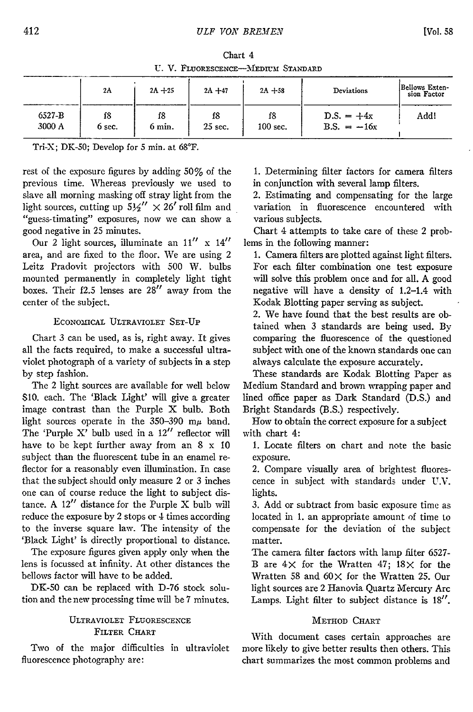Chart 4 U. V. FLUORESCENCE-MEDIUM STANDARD

|        | 2A     | $2A + 25$ | $2A + 47$ | $2A + 58$  | Deviations    | Bellows Exten-<br>sion Factor |
|--------|--------|-----------|-----------|------------|---------------|-------------------------------|
| 6527-B | f8     | f8        | f8        | f8         | $D.S. = +4x$  | Add!                          |
| 3000 A | 6 sec. | 6 min.    | $25$ sec. | $100$ sec. | B.S. $= -16x$ |                               |

Tri-X; DK-50; Develop for 5 min. at 68°F.

rest of the exposure figures by adding 50% of the previous time. Whereas previously we used to slave all morning masking off stray light from the light sources, cutting up  $5\frac{1}{2}'' \times 26'$  roll film and "guess-timating" exposures, now we can show a good negative in 25 minutes.

Our 2 light sources, illuminate an  $11''$  x  $14''$ area, and are fixed to the floor. We are using 2 Leitz Pradovit projectors with 500 W. bulbs mounted permanently in completely light tight boxes. Their f2.5 lenses are **28"** away from the center of the subject.

### ECONOMICAL ULTRAVIOLET SET-UP

Chart 3 can be used, as is, right away. It gives all the facts required, to make a successful ultraviolet photograph of a variety of subjects in a step by step fashion.

The 2 light sources are available for well below S10. each. The 'Black Light' will give a greater image contrast than the Purple X bulb. Both light sources operate in the 350-390 m $\mu$  band. The 'Purple X' bulb used in a  $12''$  reflector will have to be kept further away from an **8** x **10** subject than the fluorescent tube in an enamel reflector for a reasonably even illumination. In case that the subject should only measure 2 or 3 inches one can of course reduce the light to subject distance. A 12" distance for the Purple X bulb will reduce the exposure by 2 stops or 4 times according to the inverse square law. The intensity of the 'Black Light' is directly proportional to distance.

The exposure figures given apply only when the lens is focussed at infinity. At other distances the bellows factor will have to be added.

DK-50 can be replaced with D-76 stock solution and the new processing time will be 7 minutes.

#### ULTRAVIOLET FLUORESCENCE FILTER CHART

Two of the major difficulties in ultraviolet fluorescence photography are:

**1.** Determining filter factors for camera filters in conjunction with several lamp filters.

2. Estimating and compensating for the large variation in fluorescence encountered with various subjects.

Chart 4 attempts to take care of these 2 problems in the following manner:

1. Camera filters are plotted against light filters. For each filter combination one test exposure will solve this problem once and for all. A good negative will have a density of 1.2-1.4 with Kodak Blotting paper serving as subject.

2. We have found that the best results are obtained when 3 standards are being used. By comparing the fluorescence of the questioned subject with one of the known standards one can always calculate the exposure accurately.

These standards are Kodak Blotting Paper as Medium Standard and brown wrapping paper and lined office paper as Dark Standard (D.S.) and Bright Standards (B.S.) respectively.

How to obtain the correct exposure for a subject with chart 4:

1. Locate filters on chart and note the basic exposure.

2. Compare visually area of brightest fluorescence in subject with standards under **UN.** lights.

3. Add or subtract from basic exposure time as located in 1. an appropriate amount of time to compensate for the deviation of the subject matter.

The camera filter factors with lamp filter 6527- B are  $4 \times$  for the Wratten  $47$ ;  $18 \times$  for the Wratten 58 and 60 $\times$  for the Wratten 25. Our light sources are 2 Hanovia Quartz Mercury Arc Lamps. Light filter to subject distance is 18".

## METHOD CHART

With document cases certain approaches are more likely to give better results then others. This chart summarizes the most common problems and